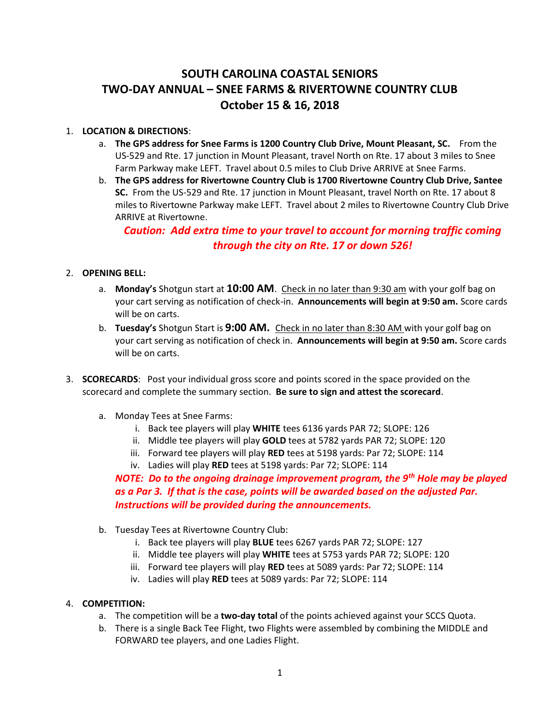## **SOUTH CAROLINA COASTAL SENIORS TWO-DAY ANNUAL – SNEE FARMS & RIVERTOWNE COUNTRY CLUB October 15 & 16, 2018**

## 1. **LOCATION & DIRECTIONS**:

- a. **The GPS address for Snee Farms is 1200 Country Club Drive, Mount Pleasant, SC.** From the US-529 and Rte. 17 junction in Mount Pleasant, travel North on Rte. 17 about 3 miles to Snee Farm Parkway make LEFT. Travel about 0.5 miles to Club Drive ARRIVE at Snee Farms.
- b. **The GPS address for Rivertowne Country Club is 1700 Rivertowne Country Club Drive, Santee SC.** From the US-529 and Rte. 17 junction in Mount Pleasant, travel North on Rte. 17 about 8 miles to Rivertowne Parkway make LEFT. Travel about 2 miles to Rivertowne Country Club Drive ARRIVE at Rivertowne.

*Caution: Add extra time to your travel to account for morning traffic coming through the city on Rte. 17 or down 526!*

## 2. **OPENING BELL:**

- a. **Monday's** Shotgun start at **10:00 AM**. Check in no later than 9:30 am with your golf bag on your cart serving as notification of check-in. **Announcements will begin at 9:50 am.** Score cards will be on carts.
- b. **Tuesday's** Shotgun Start is **9:00 AM.** Check in no later than 8:30 AM with your golf bag on your cart serving as notification of check in. **Announcements will begin at 9:50 am.** Score cards will be on carts.
- 3. **SCORECARDS**: Post your individual gross score and points scored in the space provided on the scorecard and complete the summary section. **Be sure to sign and attest the scorecard**.
	- a. Monday Tees at Snee Farms:
		- i. Back tee players will play **WHITE** tees 6136 yards PAR 72; SLOPE: 126
		- ii. Middle tee players will play **GOLD** tees at 5782 yards PAR 72; SLOPE: 120
		- iii. Forward tee players will play **RED** tees at 5198 yards: Par 72; SLOPE: 114
		- iv. Ladies will play **RED** tees at 5198 yards: Par 72; SLOPE: 114

*NOTE: Do to the ongoing drainage improvement program, the 9th Hole may be played as a Par 3. If that is the case, points will be awarded based on the adjusted Par. Instructions will be provided during the announcements.*

- b. Tuesday Tees at Rivertowne Country Club:
	- i. Back tee players will play **BLUE** tees 6267 yards PAR 72; SLOPE: 127
	- ii. Middle tee players will play **WHITE** tees at 5753 yards PAR 72; SLOPE: 120
	- iii. Forward tee players will play **RED** tees at 5089 yards: Par 72; SLOPE: 114
	- iv. Ladies will play **RED** tees at 5089 yards: Par 72; SLOPE: 114

## 4. **COMPETITION:**

- a. The competition will be a **two-day total** of the points achieved against your SCCS Quota.
- b. There is a single Back Tee Flight, two Flights were assembled by combining the MIDDLE and FORWARD tee players, and one Ladies Flight.